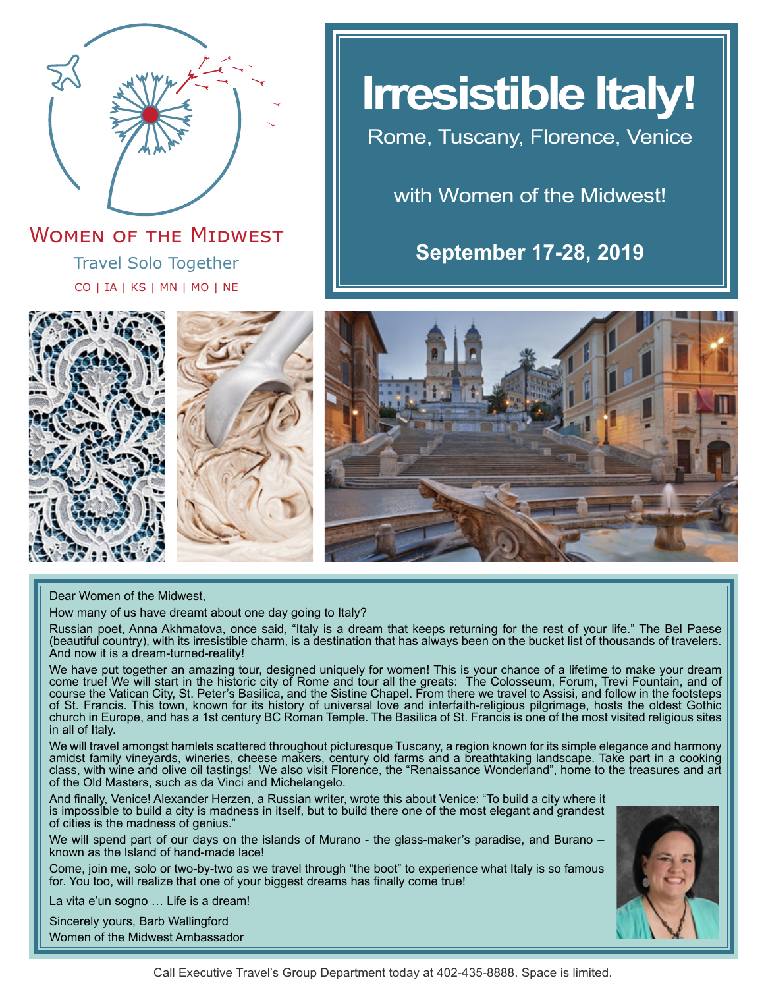

Travel Solo Together CO | IA | KS | MN | MO | NE **WOMEN OF THE MIDWEST** 

# **Irresistible Italy!**

Rome, Tuscany, Florence, Venice

with Women of the Midwest!

**September 17-28, 2019**







Dear Women of the Midwest,

How many of us have dreamt about one day going to Italy?

Russian poet, Anna Akhmatova, once said, "Italy is a dream that keeps returning for the rest of your life." The Bel Paese (beautiful country), with its irresistible charm, is a destination that has always been on the bucket list of thousands of travelers. And now it is a dream-turned-reality!

We have put together an amazing tour, designed uniquely for women! This is your chance of a lifetime to make your dream come true! We will start in the historic city of Rome and tour all the greats: The Colosseum, Forum, Trevi Fountain, and of course the Vatican City, St. Peter's Basilica, and the Sistine Chapel. From there we travel to Assisi, and follow in the footsteps of St. Francis. This town, known for its history of universal love and interfaith-religious pilgrimage, hosts the oldest Gothic church in Europe, and has a 1st century BC Roman Temple. The Basilica of St. Francis is one of the most visited religious sites in all of Italy.

We will travel amongst hamlets scattered throughout picturesque Tuscany, a region known for its simple elegance and harmony amidst family vineyards, wineries, cheese makers, century old farms and a breathtaking landscape. Take part in a cooking class, with wine and olive oil tastings! We also visit Florence, the "Renaissance Wonderland", home to the treasures and art of the Old Masters, such as da Vinci and Michelangelo.

And finally, Venice! Alexander Herzen, a Russian writer, wrote this about Venice: "To build a city where it is impossible to build a city is madness in itself, but to build there one of the most elegant and grandest of cities is the madness of genius."

We will spend part of our days on the islands of Murano - the glass-maker's paradise, and Burano – known as the Island of hand-made lace!

Come, join me, solo or two-by-two as we travel through "the boot" to experience what Italy is so famous for. You too, will realize that one of your biggest dreams has finally come true!

La vita e'un sogno … Life is a dream!

Sincerely yours, Barb Wallingford Women of the Midwest Ambassador

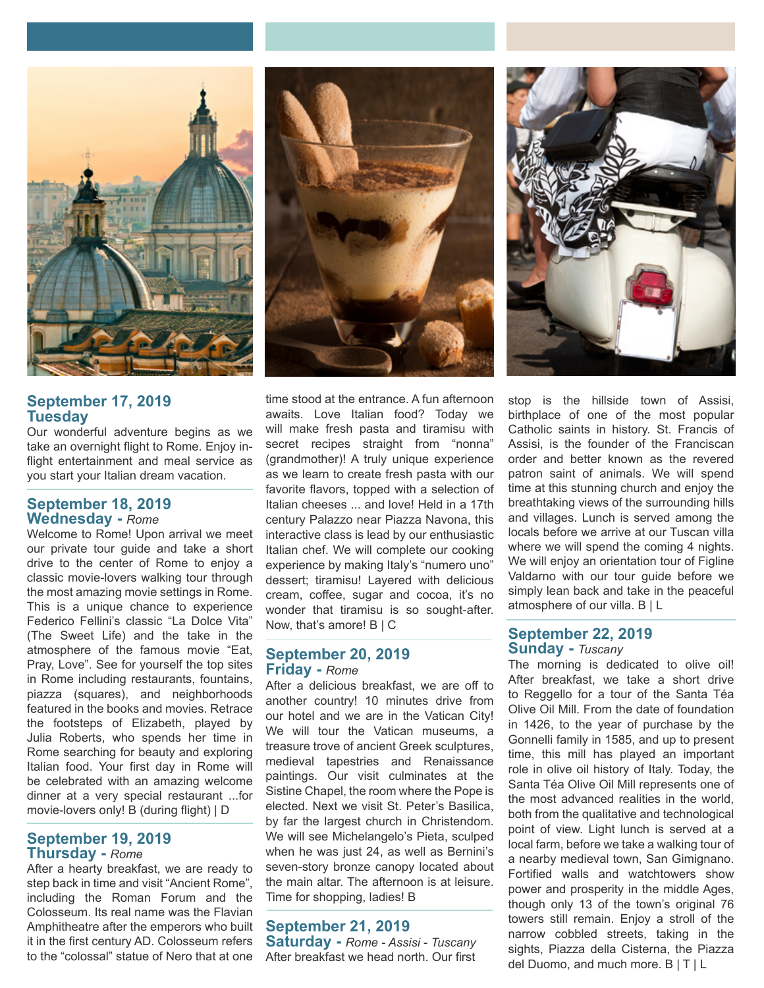

# **September 17, 2019 Tuesday**

Our wonderful adventure begins as we take an overnight flight to Rome. Enjoy inflight entertainment and meal service as you start your Italian dream vacation.

## **September 18, 2019 Wednesday -** *Rome*

Welcome to Rome! Upon arrival we meet our private tour guide and take a short drive to the center of Rome to enjoy a classic movie-lovers walking tour through the most amazing movie settings in Rome. This is a unique chance to experience Federico Fellini's classic "La Dolce Vita" (The Sweet Life) and the take in the atmosphere of the famous movie "Eat, Pray, Love". See for yourself the top sites in Rome including restaurants, fountains, piazza (squares), and neighborhoods featured in the books and movies. Retrace the footsteps of Elizabeth, played by Julia Roberts, who spends her time in Rome searching for beauty and exploring Italian food. Your first day in Rome will be celebrated with an amazing welcome dinner at a very special restaurant ...for movie-lovers only! B (during flight) | D

## **September 19, 2019 Thursday -** *Rome*

After a hearty breakfast, we are ready to step back in time and visit "Ancient Rome", including the Roman Forum and the Colosseum. Its real name was the Flavian Amphitheatre after the emperors who built it in the first century AD. Colosseum refers to the "colossal" statue of Nero that at one



time stood at the entrance. A fun afternoon awaits. Love Italian food? Today we will make fresh pasta and tiramisu with secret recipes straight from "nonna" (grandmother)! A truly unique experience as we learn to create fresh pasta with our favorite flavors, topped with a selection of Italian cheeses ... and love! Held in a 17th century Palazzo near Piazza Navona, this interactive class is lead by our enthusiastic Italian chef. We will complete our cooking experience by making Italy's "numero uno" dessert; tiramisu! Layered with delicious cream, coffee, sugar and cocoa, it's no wonder that tiramisu is so sought-after. Now, that's amore! B | C

## **September 20, 2019 Friday -** *Rome*

After a delicious breakfast, we are off to another country! 10 minutes drive from our hotel and we are in the Vatican City! We will tour the Vatican museums, a treasure trove of ancient Greek sculptures, medieval tapestries and Renaissance paintings. Our visit culminates at the Sistine Chapel, the room where the Pope is elected. Next we visit St. Peter's Basilica, by far the largest church in Christendom. We will see Michelangelo's Pieta, sculped when he was just 24, as well as Bernini's seven-story bronze canopy located about the main altar. The afternoon is at leisure. Time for shopping, ladies! B

# **September 21, 2019**

**Saturday -** *Rome - Assisi - Tuscany* After breakfast we head north. Our first



stop is the hillside town of Assisi, birthplace of one of the most popular Catholic saints in history. St. Francis of Assisi, is the founder of the Franciscan order and better known as the revered patron saint of animals. We will spend time at this stunning church and enjoy the breathtaking views of the surrounding hills and villages. Lunch is served among the locals before we arrive at our Tuscan villa where we will spend the coming 4 nights. We will enjoy an orientation tour of Figline Valdarno with our tour guide before we simply lean back and take in the peaceful atmosphere of our villa. B | L

## **September 22, 2019 Sunday -** *Tuscany*

The morning is dedicated to olive oil! After breakfast, we take a short drive to Reggello for a tour of the Santa Téa Olive Oil Mill. From the date of foundation in 1426, to the year of purchase by the Gonnelli family in 1585, and up to present time, this mill has played an important role in olive oil history of Italy. Today, the Santa Téa Olive Oil Mill represents one of the most advanced realities in the world, both from the qualitative and technological point of view. Light lunch is served at a local farm, before we take a walking tour of a nearby medieval town, San Gimignano. Fortified walls and watchtowers show power and prosperity in the middle Ages, though only 13 of the town's original 76 towers still remain. Enjoy a stroll of the narrow cobbled streets, taking in the sights, Piazza della Cisterna, the Piazza del Duomo, and much more. B | T | L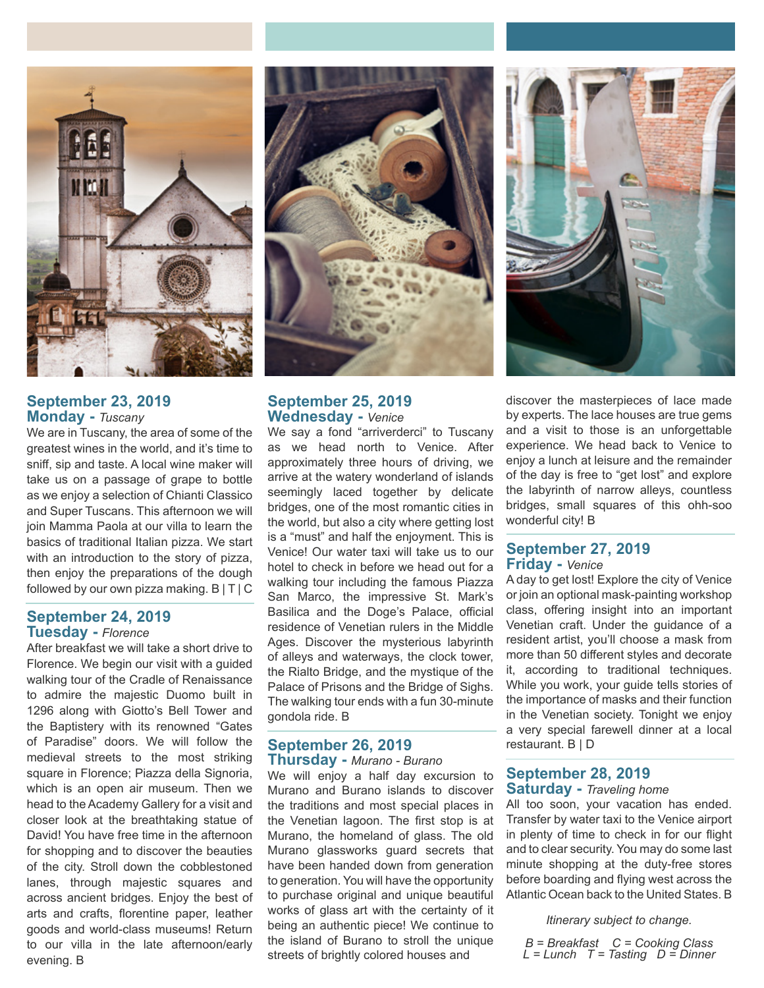

# **September 23, 2019 Monday -** *Tuscany*

We are in Tuscany, the area of some of the greatest wines in the world, and it's time to sniff, sip and taste. A local wine maker will take us on a passage of grape to bottle as we enjoy a selection of Chianti Classico and Super Tuscans. This afternoon we will join Mamma Paola at our villa to learn the basics of traditional Italian pizza. We start with an introduction to the story of pizza, then enjoy the preparations of the dough followed by our own pizza making. B | T | C

## **September 24, 2019 Tuesday -** *Florence*

After breakfast we will take a short drive to Florence. We begin our visit with a guided walking tour of the Cradle of Renaissance to admire the majestic Duomo built in 1296 along with Giotto's Bell Tower and the Baptistery with its renowned "Gates of Paradise" doors. We will follow the medieval streets to the most striking square in Florence; Piazza della Signoria, which is an open air museum. Then we head to the Academy Gallery for a visit and closer look at the breathtaking statue of David! You have free time in the afternoon for shopping and to discover the beauties of the city. Stroll down the cobblestoned lanes, through majestic squares and across ancient bridges. Enjoy the best of arts and crafts, florentine paper, leather goods and world-class museums! Return to our villa in the late afternoon/early evening. B



## **September 25, 2019 Wednesday -** *Venice*

We say a fond "arriverderci" to Tuscany as we head north to Venice. After approximately three hours of driving, we arrive at the watery wonderland of islands seemingly laced together by delicate bridges, one of the most romantic cities in the world, but also a city where getting lost is a "must" and half the enjoyment. This is Venice! Our water taxi will take us to our hotel to check in before we head out for a walking tour including the famous Piazza San Marco, the impressive St. Mark's Basilica and the Doge's Palace, official residence of Venetian rulers in the Middle Ages. Discover the mysterious labyrinth of alleys and waterways, the clock tower, the Rialto Bridge, and the mystique of the Palace of Prisons and the Bridge of Sighs. The walking tour ends with a fun 30-minute gondola ride. B

## **September 26, 2019 Thursday -** *Murano - Burano*

We will enjoy a half day excursion to Murano and Burano islands to discover the traditions and most special places in the Venetian lagoon. The first stop is at Murano, the homeland of glass. The old Murano glassworks guard secrets that have been handed down from generation to generation. You will have the opportunity to purchase original and unique beautiful works of glass art with the certainty of it being an authentic piece! We continue to the island of Burano to stroll the unique streets of brightly colored houses and



discover the masterpieces of lace made by experts. The lace houses are true gems and a visit to those is an unforgettable experience. We head back to Venice to enjoy a lunch at leisure and the remainder of the day is free to "get lost" and explore the labyrinth of narrow alleys, countless bridges, small squares of this ohh-soo wonderful city! B

## **September 27, 2019 Friday -** *Venice*

A day to get lost! Explore the city of Venice or join an optional mask-painting workshop class, offering insight into an important Venetian craft. Under the guidance of a resident artist, you'll choose a mask from more than 50 different styles and decorate it, according to traditional techniques. While you work, your guide tells stories of the importance of masks and their function in the Venetian society. Tonight we enjoy a very special farewell dinner at a local restaurant. B | D

## **September 28, 2019 Saturday -** *Traveling home*

All too soon, your vacation has ended. Transfer by water taxi to the Venice airport in plenty of time to check in for our flight and to clear security. You may do some last minute shopping at the duty-free stores before boarding and flying west across the Atlantic Ocean back to the United States. B

*Itinerary subject to change.*

*B = Breakfast C = Cooking Class L = Lunch T = Tasting D = Dinner*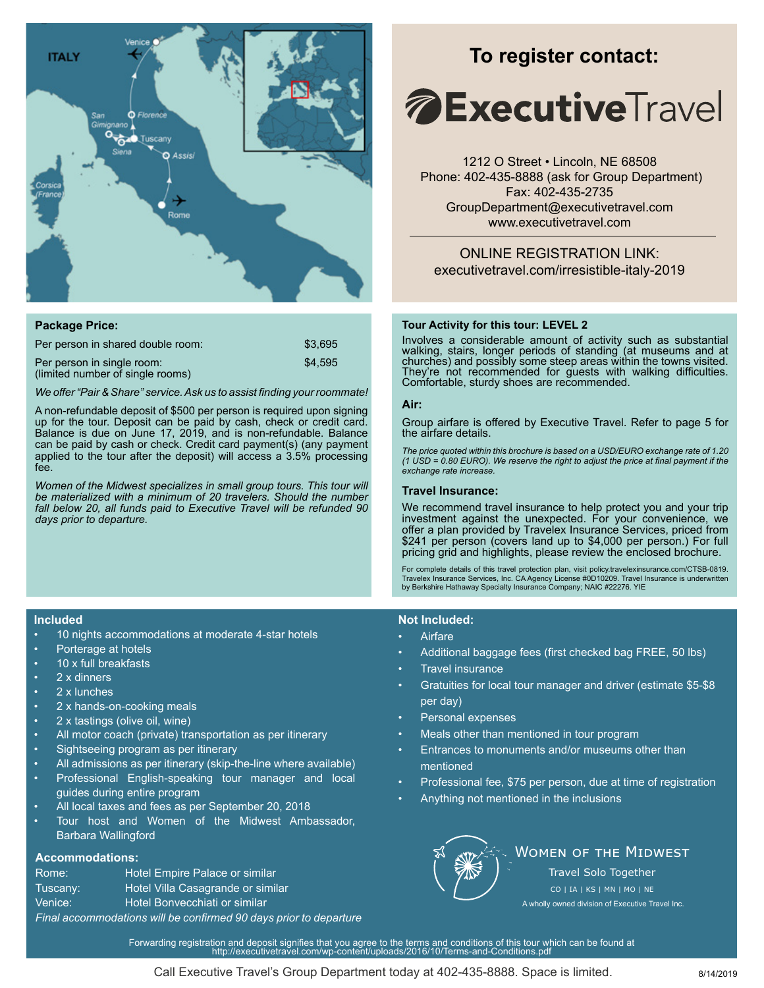

| <b>Package Price:</b>                                          |         |
|----------------------------------------------------------------|---------|
| Per person in shared double room:                              | \$3.695 |
| Per person in single room:<br>(limited number of single rooms) | \$4.595 |

*We offer "Pair & Share" service. Ask us to assist finding your roommate!*

A non-refundable deposit of \$500 per person is required upon signing up for the tour. Deposit can be paid by cash, check or credit card. Balance is due on June 17, 2019, and is non-refundable. Balance can be paid by cash or check. Credit card payment(s) (any payment applied to the tour after the deposit) will access a 3.5% processing fee.

*Women of the Midwest specializes in small group tours. This tour will be materialized with a minimum of 20 travelers. Should the number fall below 20, all funds paid to Executive Travel will be refunded 90 days prior to departure.*

# **To register contact:**

# *A* **Executive** Travel

1212 O Street • Lincoln, NE 68508 Phone: 402-435-8888 (ask for Group Department) Fax: 402-435-2735 GroupDepartment@executivetravel.com www.executivetravel.com

ONLINE REGISTRATION LINK: executivetravel.com/irresistible-italy-2019

## **Tour Activity for this tour: LEVEL 2**

Involves a considerable amount of activity such as substantial walking, stairs, longer periods of standing (at museums and at churches) and possibly some steep areas within the towns visited. They're not recommended for guests with walking difficulties. Comfortable, sturdy shoes are recommended.

## **Air:**

Group airfare is offered by Executive Travel. Refer to page 5 for the airfare details.

*The price quoted within this brochure is based on a USD/EURO exchange rate of 1.20 (1 USD = 0.80 EURO). We reserve the right to adjust the price at final payment if the exchange rate increase.* 

#### **Travel Insurance:**

We recommend travel insurance to help protect you and your trip investment against the unexpected. For your convenience, we offer a plan provided by Travelex Insurance Services, priced from \$241 per person (covers land up to \$4,000 per person.) For full pricing grid and highlights, please review the enclosed brochure.

For complete details of this travel protection plan, visit policy.travelexinsurance.com/CTSB-0819.<br>Travelex Insurance Services, Inc. CA Agency License #0D10209. Travel Insurance is underwritten<br>by Berkshire Hathaway Specia

### **Not Included:**

- Airfare
- Additional baggage fees (first checked bag FREE, 50 lbs)
- Travel insurance
- Gratuities for local tour manager and driver (estimate \$5-\$8 per day)
- Personal expenses
- Meals other than mentioned in tour program
- Entrances to monuments and/or museums other than mentioned
- Professional fee, \$75 per person, due at time of registration
- Anything not mentioned in the inclusions



## **WOMEN OF THE MIDWEST** Travel Solo Together

A wholly owned division of Executive Travel Inc. CO | IA | KS | MN | MO | NE

# *Final accommodations will be confirmed 90 days prior to departure*

Forwarding registration and deposit signifies that you agree to the terms and conditions of this tour which can be found at http://executivetravel.com/wp-content/uploads/2016/10/Terms-and-Conditions.pdf

**Included**

- 10 nights accommodations at moderate 4-star hotels
- Porterage at hotels
- 10 x full breakfasts
- 2 x dinners
- 2 x lunches
- 2 x hands-on-cooking meals
- 2 x tastings (olive oil, wine)
- All motor coach (private) transportation as per itinerary
- Sightseeing program as per itinerary
- All admissions as per itinerary (skip-the-line where available)
- Professional English-speaking tour manager and local guides during entire program
- All local taxes and fees as per September 20, 2018
- Tour host and Women of the Midwest Ambassador, Barbara Wallingford

## **Accommodations:**

| Rome:                                                       | Hotel Empire Palace or similar    |  |
|-------------------------------------------------------------|-----------------------------------|--|
| Tuscany:                                                    | Hotel Villa Casagrande or similar |  |
| Venice:                                                     | Hotel Bonvecchiati or similar     |  |
| Final accommodations will be confirmed 90 days prior to dei |                                   |  |